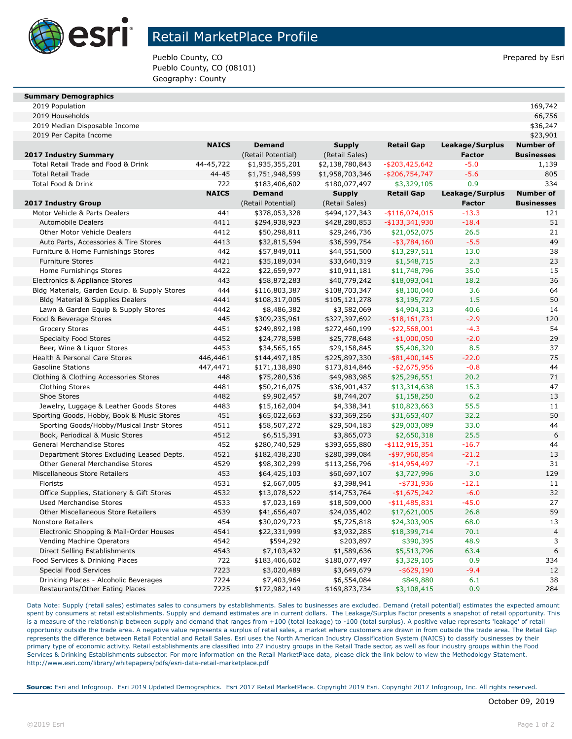

## Retail MarketPlace Profile

Pueblo County, CO **Prepared by Esri** Pueblo County, CO Pueblo County, CO (08101) Geography: County

| <b>Summary Demographics</b> |  |  |  |  |
|-----------------------------|--|--|--|--|
|-----------------------------|--|--|--|--|

| illiliai y Deniographics |         |
|--------------------------|---------|
| 2019 Population          | 169,742 |
| 2019 Households          | 66,756  |

2019 Households 66,756 2019 Median Disposable Income \$36,247

2019 Per Capita Income \$23,901

|                                               | <b>NAICS</b> | <b>Demand</b>      | <b>Supply</b>   | <b>Retail Gap</b> | Leakage/Surplus | <b>Number of</b>  |
|-----------------------------------------------|--------------|--------------------|-----------------|-------------------|-----------------|-------------------|
| <b>2017 Industry Summary</b>                  |              | (Retail Potential) | (Retail Sales)  |                   | Factor          | <b>Businesses</b> |
| Total Retail Trade and Food & Drink           | 44-45,722    | \$1,935,355,201    | \$2,138,780,843 | $-$ \$203,425,642 | $-5.0$          | 1,139             |
| <b>Total Retail Trade</b>                     | 44-45        | \$1,751,948,599    | \$1,958,703,346 | $-$ \$206,754,747 | $-5.6$          | 805               |
| Total Food & Drink                            | 722          | \$183,406,602      | \$180,077,497   | \$3,329,105       | 0.9             | 334               |
|                                               | <b>NAICS</b> | <b>Demand</b>      | <b>Supply</b>   | <b>Retail Gap</b> | Leakage/Surplus | <b>Number of</b>  |
| 2017 Industry Group                           |              | (Retail Potential) | (Retail Sales)  |                   | <b>Factor</b>   | <b>Businesses</b> |
| Motor Vehicle & Parts Dealers                 | 441          | \$378,053,328      | \$494,127,343   | $-$116,074,015$   | $-13.3$         | 121               |
| <b>Automobile Dealers</b>                     | 4411         | \$294,938,923      | \$428,280,853   | $-$ \$133,341,930 | $-18.4$         | 51                |
| Other Motor Vehicle Dealers                   | 4412         | \$50,298,811       | \$29,246,736    | \$21,052,075      | 26.5            | 21                |
| Auto Parts, Accessories & Tire Stores         | 4413         | \$32,815,594       | \$36,599,754    | $-$ \$3,784,160   | $-5.5$          | 49                |
| Furniture & Home Furnishings Stores           | 442          | \$57,849,011       | \$44,551,500    | \$13,297,511      | 13.0            | 38                |
| <b>Furniture Stores</b>                       | 4421         | \$35,189,034       | \$33,640,319    | \$1,548,715       | 2.3             | 23                |
| Home Furnishings Stores                       | 4422         | \$22,659,977       | \$10,911,181    | \$11,748,796      | 35.0            | 15                |
| Electronics & Appliance Stores                | 443          | \$58,872,283       | \$40,779,242    | \$18,093,041      | 18.2            | 36                |
| Bldg Materials, Garden Equip. & Supply Stores | 444          | \$116,803,387      | \$108,703,347   | \$8,100,040       | 3.6             | 64                |
| Bldg Material & Supplies Dealers              | 4441         | \$108,317,005      | \$105,121,278   | \$3,195,727       | 1.5             | 50                |
| Lawn & Garden Equip & Supply Stores           | 4442         | \$8,486,382        | \$3,582,069     | \$4,904,313       | 40.6            | 14                |
| Food & Beverage Stores                        | 445          | \$309,235,961      | \$327,397,692   | $-$ \$18,161,731  | $-2.9$          | 120               |
| <b>Grocery Stores</b>                         | 4451         | \$249,892,198      | \$272,460,199   | $-$ \$22,568,001  | $-4.3$          | 54                |
| <b>Specialty Food Stores</b>                  | 4452         | \$24,778,598       | \$25,778,648    | $-$1,000,050$     | $-2.0$          | 29                |
| Beer, Wine & Liguor Stores                    | 4453         | \$34,565,165       | \$29,158,845    | \$5,406,320       | 8.5             | 37                |
| Health & Personal Care Stores                 | 446,4461     | \$144,497,185      | \$225,897,330   | $-$ \$81,400,145  | $-22.0$         | 75                |
| <b>Gasoline Stations</b>                      | 447,4471     | \$171,138,890      | \$173,814,846   | $- $2,675,956$    | $-0.8$          | 44                |
| Clothing & Clothing Accessories Stores        | 448          | \$75,280,536       | \$49,983,985    | \$25,296,551      | 20.2            | 71                |
| <b>Clothing Stores</b>                        | 4481         | \$50,216,075       | \$36,901,437    | \$13,314,638      | 15.3            | 47                |
| Shoe Stores                                   | 4482         | \$9,902,457        | \$8,744,207     | \$1,158,250       | 6.2             | 13                |
| Jewelry, Luggage & Leather Goods Stores       | 4483         | \$15,162,004       | \$4,338,341     | \$10,823,663      | 55.5            | 11                |
| Sporting Goods, Hobby, Book & Music Stores    | 451          | \$65,022,663       | \$33,369,256    | \$31,653,407      | 32.2            | 50                |
| Sporting Goods/Hobby/Musical Instr Stores     | 4511         | \$58,507,272       | \$29,504,183    | \$29,003,089      | 33.0            | 44                |
| Book, Periodical & Music Stores               | 4512         | \$6,515,391        | \$3,865,073     | \$2,650,318       | 25.5            | 6                 |
| General Merchandise Stores                    | 452          | \$280,740,529      | \$393,655,880   | $-$ \$112,915,351 | $-16.7$         | 44                |
| Department Stores Excluding Leased Depts.     | 4521         | \$182,438,230      | \$280,399,084   | $-$ \$97,960,854  | $-21.2$         | 13                |
| Other General Merchandise Stores              | 4529         | \$98,302,299       | \$113,256,796   | -\$14,954,497     | $-7.1$          | 31                |
| Miscellaneous Store Retailers                 | 453          | \$64,425,103       | \$60,697,107    | \$3,727,996       | 3.0             | 129               |
| Florists                                      | 4531         | \$2,667,005        | \$3,398,941     | $-$ \$731,936     | $-12.1$         | 11                |
| Office Supplies, Stationery & Gift Stores     | 4532         | \$13,078,522       | \$14,753,764    | $-$1,675,242$     | $-6.0$          | 32                |
| <b>Used Merchandise Stores</b>                | 4533         | \$7,023,169        | \$18,509,000    | $- $11,485,831$   | $-45.0$         | 27                |
| <b>Other Miscellaneous Store Retailers</b>    | 4539         | \$41,656,407       | \$24,035,402    | \$17,621,005      | 26.8            | 59                |
| <b>Nonstore Retailers</b>                     | 454          | \$30,029,723       | \$5,725,818     | \$24,303,905      | 68.0            | 13                |
| Electronic Shopping & Mail-Order Houses       | 4541         | \$22,331,999       | \$3,932,285     | \$18,399,714      | 70.1            | $\overline{4}$    |
| Vending Machine Operators                     | 4542         | \$594,292          | \$203,897       | \$390,395         | 48.9            | 3                 |
| Direct Selling Establishments                 | 4543         | \$7,103,432        | \$1,589,636     | \$5,513,796       | 63.4            | 6                 |
| Food Services & Drinking Places               | 722          | \$183,406,602      | \$180,077,497   | \$3,329,105       | 0.9             | 334               |
| <b>Special Food Services</b>                  | 7223         | \$3,020,489        | \$3,649,679     | $-$ \$629,190     | $-9.4$          | 12                |
| Drinking Places - Alcoholic Beverages         | 7224         | \$7,403,964        | \$6,554,084     | \$849,880         | 6.1             | 38                |
| Restaurants/Other Eating Places               | 7225         | \$172,982,149      | \$169,873,734   | \$3,108,415       | 0.9             | 284               |

Data Note: Supply (retail sales) estimates sales to consumers by establishments. Sales to businesses are excluded. Demand (retail potential) estimates the expected amount spent by consumers at retail establishments. Supply and demand estimates are in current dollars. The Leakage/Surplus Factor presents a snapshot of retail opportunity. This is a measure of the relationship between supply and demand that ranges from +100 (total leakage) to -100 (total surplus). A positive value represents 'leakage' of retail opportunity outside the trade area. A negative value represents a surplus of retail sales, a market where customers are drawn in from outside the trade area. The Retail Gap represents the difference between Retail Potential and Retail Sales. Esri uses the North American Industry Classification System (NAICS) to classify businesses by their primary type of economic activity. Retail establishments are classified into 27 industry groups in the Retail Trade sector, as well as four industry groups within the Food Services & Drinking Establishments subsector. For more information on the Retail MarketPlace data, please click the link below to view the Methodology Statement. http://www.esri.com/library/whitepapers/pdfs/esri-data-retail-marketplace.pdf

**Source:** Esri and Infogroup. Esri 2019 Updated Demographics. Esri 2017 Retail MarketPlace. Copyright 2019 Esri. Copyright 2017 Infogroup, Inc. All rights reserved.